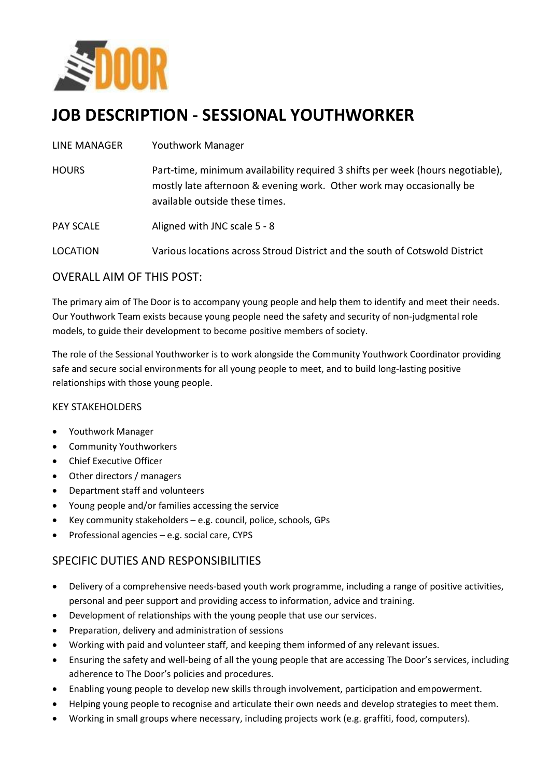

# **JOB DESCRIPTION - SESSIONAL YOUTHWORKER**

| LINE MANAGER     | <b>Youthwork Manager</b>                                                                                                                                                                 |
|------------------|------------------------------------------------------------------------------------------------------------------------------------------------------------------------------------------|
| <b>HOURS</b>     | Part-time, minimum availability required 3 shifts per week (hours negotiable),<br>mostly late afternoon & evening work. Other work may occasionally be<br>available outside these times. |
| <b>PAY SCALE</b> | Aligned with JNC scale 5 - 8                                                                                                                                                             |
| <b>LOCATION</b>  | Various locations across Stroud District and the south of Cotswold District                                                                                                              |
|                  |                                                                                                                                                                                          |

## OVERALL AIM OF THIS POST:

The primary aim of The Door is to accompany young people and help them to identify and meet their needs. Our Youthwork Team exists because young people need the safety and security of non-judgmental role models, to guide their development to become positive members of society.

The role of the Sessional Youthworker is to work alongside the Community Youthwork Coordinator providing safe and secure social environments for all young people to meet, and to build long-lasting positive relationships with those young people.

### KEY STAKEHOLDERS

- Youthwork Manager
- Community Youthworkers
- Chief Executive Officer
- Other directors / managers
- Department staff and volunteers
- Young people and/or families accessing the service
- Exercy community stakeholders e.g. council, police, schools, GPs
- $\bullet$  Professional agencies e.g. social care, CYPS

## SPECIFIC DUTIES AND RESPONSIBILITIES

- Delivery of a comprehensive needs-based youth work programme, including a range of positive activities, personal and peer support and providing access to information, advice and training.
- Development of relationships with the young people that use our services.
- Preparation, delivery and administration of sessions
- Working with paid and volunteer staff, and keeping them informed of any relevant issues.
- Ensuring the safety and well-being of all the young people that are accessing The Door's services, including adherence to The Door's policies and procedures.
- Enabling young people to develop new skills through involvement, participation and empowerment.
- Helping young people to recognise and articulate their own needs and develop strategies to meet them.
- Working in small groups where necessary, including projects work (e.g. graffiti, food, computers).